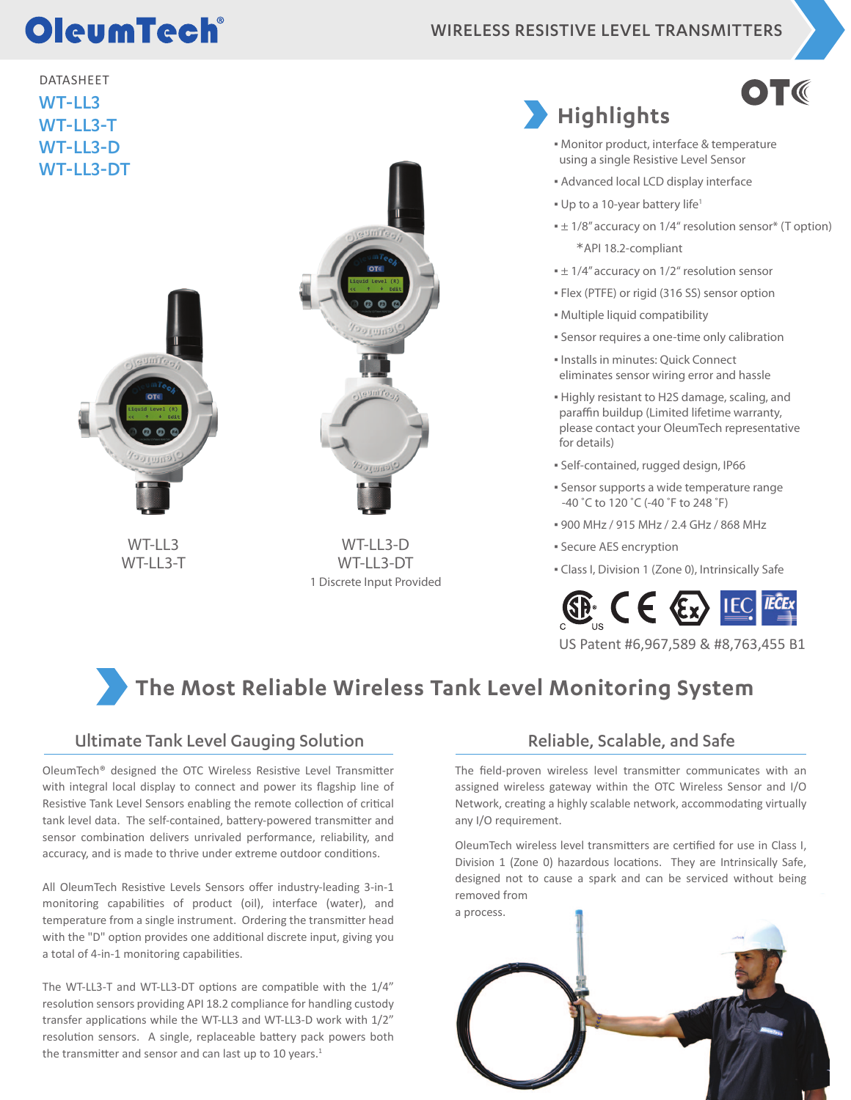# **OleumTech®**

#### WIRELESS RESISTIVE LEVEL TRANSMITTERS





 $WT-I 13$ WT-LL3-T



 $WT-I 13-D$ WT-LL3-DT 1 Discrete Input Provided

### **Highlights**

▪ Monitor product, interface & temperature using a single Resistive Level Sensor

OT **C** 

- Advanced local LCD display interface
- . Up to a 10-year battery life<sup>1</sup>
- $\pm$  1/8" accuracy on 1/4" resolution sensor\* (T option) \*API 18.2-compliant
- $\pm$  1/4" accuracy on 1/2" resolution sensor
- Flex (PTFE) or rigid (316 SS) sensor option
- Multiple liquid compatibility
- **Sensor requires a one-time only calibration**
- Installs in minutes: Quick Connect eliminates sensor wiring error and hassle
- Highly resistant to H2S damage, scaling, and paraffin buildup (Limited lifetime warranty, please contact your OleumTech representative for details)
- Self-contained, rugged design, IP66
- **Sensor supports a wide temperature range** -40 ˚C to 120 ˚C (-40 ˚F to 248 ˚F)
- 900 MHz / 915 MHz / 2.4 GHz / 868 MHz
- **Secure AES encryption**
- Class I, Division 1 (Zone 0), Intrinsically Safe



US Patent #6,967,589 & #8,763,455 B1

### **The Most Reliable Wireless Tank Level Monitoring System**

#### Ultimate Tank Level Gauging Solution

OleumTech® designed the OTC Wireless Resistive Level Transmitter with integral local display to connect and power its flagship line of Resistive Tank Level Sensors enabling the remote collection of critical tank level data. The self-contained, battery-powered transmitter and sensor combination delivers unrivaled performance, reliability, and accuracy, and is made to thrive under extreme outdoor conditions.

All OleumTech Resistive Levels Sensors offer industry-leading 3-in-1 monitoring capabilities of product (oil), interface (water), and temperature from a single instrument. Ordering the transmitter head with the "D" option provides one additional discrete input, giving you a total of 4-in-1 monitoring capabilities.

The WT-LL3-T and WT-LL3-DT options are compatible with the 1/4" resolution sensors providing API 18.2 compliance for handling custody transfer applications while the WT-LL3 and WT-LL3-D work with 1/2" resolution sensors. A single, replaceable battery pack powers both the transmitter and sensor and can last up to 10 years. $1$ 

#### Reliable, Scalable, and Safe

The field-proven wireless level transmitter communicates with an assigned wireless gateway within the OTC Wireless Sensor and I/O Network, creating a highly scalable network, accommodating virtually any I/O requirement.

OleumTech wireless level transmitters are certified for use in Class I, Division 1 (Zone 0) hazardous locations. They are Intrinsically Safe, designed not to cause a spark and can be serviced without being removed from

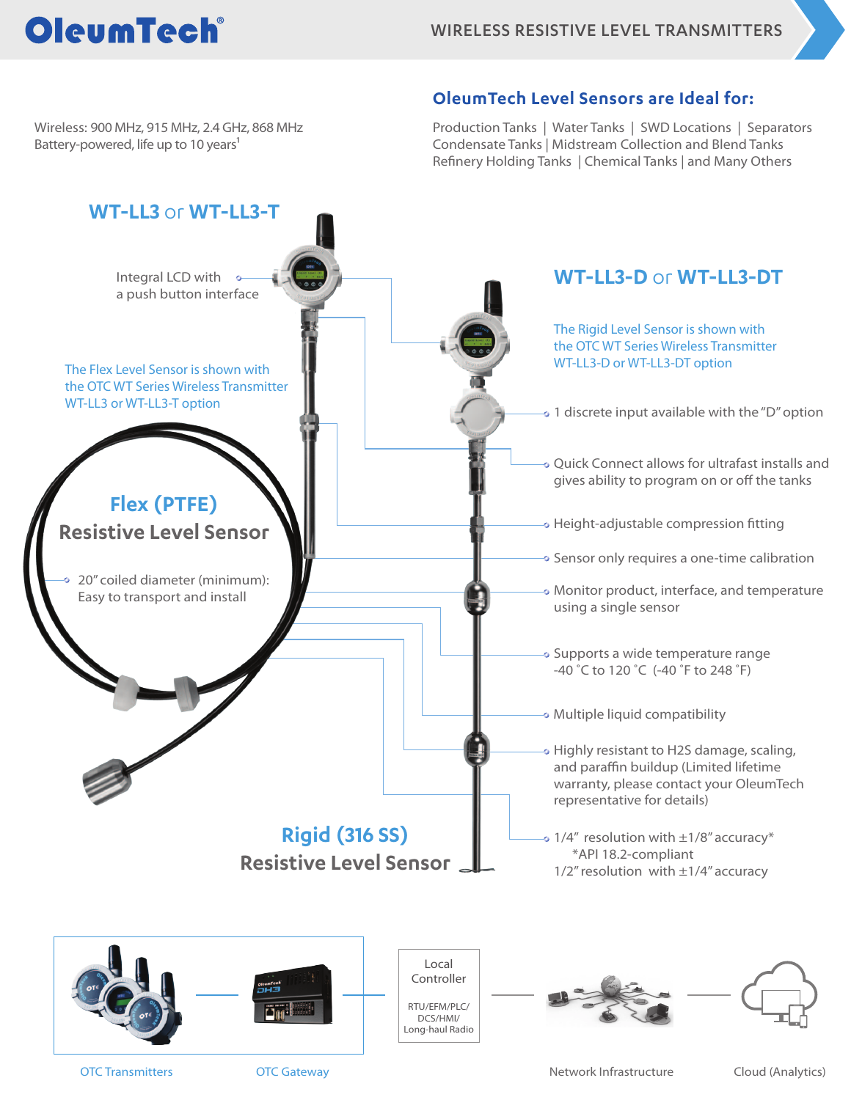

#### Wireless: 900 MHz, 915 MHz, 2.4 GHz, 868 MHz Battery-powered, life up to 10 years<sup>1</sup>

#### **OleumTech Level Sensors are Ideal for:**

Production Tanks | Water Tanks | SWD Locations | Separators Condensate Tanks | Midstream Collection and Blend Tanks Refinery Holding Tanks | Chemical Tanks | and Many Others

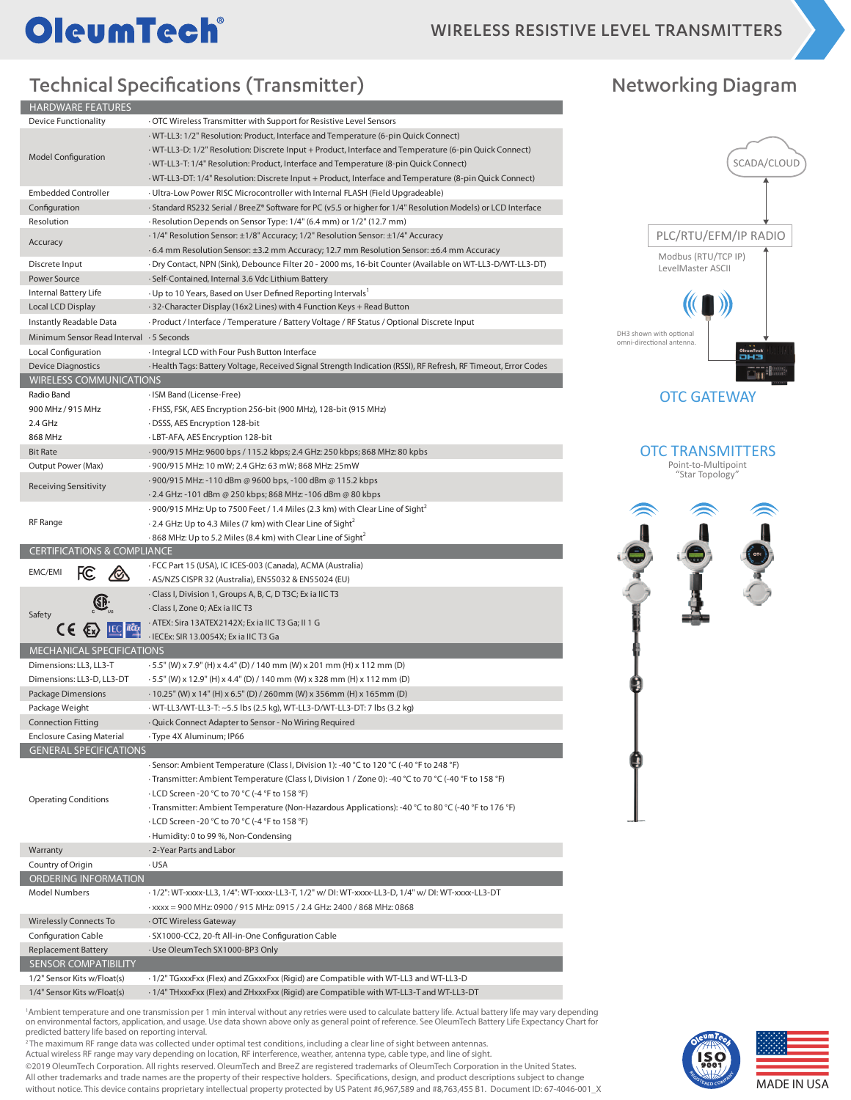# OleumTech®

#### $HADOMAPC$ Technical Specifications (Transmitter) Networking Diagram

| <b>MARUWARE FEAIURES</b>                 |                                                                                                                 |  |  |
|------------------------------------------|-----------------------------------------------------------------------------------------------------------------|--|--|
| <b>Device Functionality</b>              | OTC Wireless Transmitter with Support for Resistive Level Sensors                                               |  |  |
|                                          | · WT-LL3: 1/2" Resolution: Product, Interface and Temperature (6-pin Quick Connect)                             |  |  |
|                                          | WT-LL3-D: 1/2" Resolution: Discrete Input + Product, Interface and Temperature (6-pin Quick Connect)            |  |  |
| <b>Model Configuration</b>               |                                                                                                                 |  |  |
|                                          | · WT-LL3-T: 1/4" Resolution: Product, Interface and Temperature (8-pin Quick Connect)                           |  |  |
|                                          | WT-LL3-DT: 1/4" Resolution: Discrete Input + Product, Interface and Temperature (8-pin Quick Connect)           |  |  |
| <b>Embedded Controller</b>               | · Ultra-Low Power RISC Microcontroller with Internal FLASH (Field Upgradeable)                                  |  |  |
| Configuration                            | · Standard RS232 Serial / BreeZ® Software for PC (v5.5 or higher for 1/4" Resolution Models) or LCD Interface   |  |  |
| Resolution                               | · Resolution Depends on Sensor Type: 1/4" (6.4 mm) or 1/2" (12.7 mm)                                            |  |  |
|                                          | · 1/4" Resolution Sensor: ±1/8" Accuracy; 1/2" Resolution Sensor: ±1/4" Accuracy                                |  |  |
| Accuracy                                 | ⋅6.4 mm Resolution Sensor: ±3.2 mm Accuracy; 12.7 mm Resolution Sensor: ±6.4 mm Accuracy                        |  |  |
| Discrete Input                           | · Dry Contact, NPN (Sink), Debounce Filter 20 - 2000 ms, 16-bit Counter (Available on WT-LL3-D/WT-LL3-DT)       |  |  |
|                                          |                                                                                                                 |  |  |
| Power Source                             | · Self-Contained, Internal 3.6 Vdc Lithium Battery                                                              |  |  |
| Internal Battery Life                    | · Up to 10 Years, Based on User Defined Reporting Intervals                                                     |  |  |
| Local LCD Display                        | · 32-Character Display (16x2 Lines) with 4 Function Keys + Read Button                                          |  |  |
| Instantly Readable Data                  | · Product / Interface / Temperature / Battery Voltage / RF Status / Optional Discrete Input                     |  |  |
| Minimum Sensor Read Interval · 5 Seconds |                                                                                                                 |  |  |
| <b>Local Configuration</b>               | Integral LCD with Four Push Button Interface                                                                    |  |  |
|                                          |                                                                                                                 |  |  |
| <b>Device Diagnostics</b>                | · Health Tags: Battery Voltage, Received Signal Strength Indication (RSSI), RF Refresh, RF Timeout, Error Codes |  |  |
| <b>WIRELESS COMMUNICATIONS</b>           |                                                                                                                 |  |  |
| Radio Band                               | · ISM Band (License-Free)                                                                                       |  |  |
| 900 MHz / 915 MHz                        | · FHSS, FSK, AES Encryption 256-bit (900 MHz), 128-bit (915 MHz)                                                |  |  |
| 2.4 GHz                                  | · DSSS, AES Encryption 128-bit                                                                                  |  |  |
| 868 MHz                                  | · LBT-AFA, AES Encryption 128-bit                                                                               |  |  |
| Bit Rate                                 | . 900/915 MHz: 9600 bps / 115.2 kbps; 2.4 GHz: 250 kbps; 868 MHz: 80 kpbs                                       |  |  |
|                                          |                                                                                                                 |  |  |
| Output Power (Max)                       | . 900/915 MHz: 10 mW; 2.4 GHz: 63 mW; 868 MHz: 25mW                                                             |  |  |
| <b>Receiving Sensitivity</b>             | .900/915 MHz: -110 dBm @ 9600 bps, -100 dBm @ 115.2 kbps                                                        |  |  |
|                                          | 2.4 GHz: -101 dBm @ 250 kbps; 868 MHz: -106 dBm @ 80 kbps                                                       |  |  |
|                                          | .900/915 MHz: Up to 7500 Feet / 1.4 Miles (2.3 km) with Clear Line of Sight <sup>2</sup>                        |  |  |
| RF Range                                 | . 2.4 GHz: Up to 4.3 Miles (7 km) with Clear Line of Sight <sup>2</sup>                                         |  |  |
|                                          | 868 MHz: Up to 5.2 Miles (8.4 km) with Clear Line of Sight <sup>2</sup>                                         |  |  |
|                                          |                                                                                                                 |  |  |
|                                          |                                                                                                                 |  |  |
| <b>CERTIFICATIONS &amp; COMPLIANCE</b>   |                                                                                                                 |  |  |
| EMC/EMI                                  | · FCC Part 15 (USA), IC ICES-003 (Canada), ACMA (Australia)                                                     |  |  |
|                                          | · AS/NZS CISPR 32 (Australia), EN55032 & EN55024 (EU)                                                           |  |  |
|                                          | · Class I, Division 1, Groups A, B, C, D T3C; Ex ia IIC T3                                                      |  |  |
| Safety                                   | · Class I, Zone 0; AEx ia IIC T3                                                                                |  |  |
|                                          | · ATEX: Sira 13ATEX2142X; Ex ia IIC T3 Ga; II 1 G                                                               |  |  |
| CE & IEC REEX                            | · IECEx: SIR 13.0054X; Ex ia IIC T3 Ga                                                                          |  |  |
| <b>MECHANICAL SPECIFICATIONS</b>         |                                                                                                                 |  |  |
| Dimensions: LL3, LL3-T                   | .5.5" (W) x 7.9" (H) x 4.4" (D) / 140 mm (W) x 201 mm (H) x 112 mm (D)                                          |  |  |
|                                          |                                                                                                                 |  |  |
| Dimensions: LL3-D, LL3-DT                | .5.5" (W) x 12.9" (H) x 4.4" (D) / 140 mm (W) x 328 mm (H) x 112 mm (D)                                         |  |  |
| <b>Package Dimensions</b>                | . 10.25" (W) x 14" (H) x 6.5" (D) / 260mm (W) x 356mm (H) x 165mm (D)                                           |  |  |
| Package Weight                           | · WT-LL3/WT-LL3-T: ~5.5 lbs (2.5 kg), WT-LL3-D/WT-LL3-DT: 7 lbs (3.2 kg)                                        |  |  |
| <b>Connection Fitting</b>                | · Quick Connect Adapter to Sensor - No Wiring Required                                                          |  |  |
| <b>Enclosure Casing Material</b>         | · Type 4X Aluminum; IP66                                                                                        |  |  |
| <b>GENERAL SPECIFICATIONS</b>            |                                                                                                                 |  |  |
|                                          | · Sensor: Ambient Temperature (Class I, Division 1): -40 °C to 120 °C (-40 °F to 248 °F)                        |  |  |
|                                          | Transmitter: Ambient Temperature (Class I, Division 1 / Zone 0): -40 °C to 70 °C (-40 °F to 158 °F)             |  |  |
|                                          |                                                                                                                 |  |  |
| <b>Operating Conditions</b>              | · LCD Screen -20 °C to 70 °C (-4 °F to 158 °F)                                                                  |  |  |
|                                          | Transmitter: Ambient Temperature (Non-Hazardous Applications): -40 °C to 80 °C (-40 °F to 176 °F)               |  |  |
|                                          | · LCD Screen -20 °C to 70 °C (-4 °F to 158 °F)                                                                  |  |  |
|                                          | · Humidity: 0 to 99 %, Non-Condensing                                                                           |  |  |
| Warranty                                 | 2-Year Parts and Labor                                                                                          |  |  |
| Country of Origin                        | $\cdot$ USA                                                                                                     |  |  |
| ORDERING INFORMATION                     |                                                                                                                 |  |  |
| Model Numbers                            | · 1/2": WT-xxxx-LL3, 1/4": WT-xxxx-LL3-T, 1/2" w/ DI: WT-xxxx-LL3-D, 1/4" w/ DI: WT-xxxx-LL3-DT                 |  |  |
|                                          |                                                                                                                 |  |  |
|                                          | · xxxx = 900 MHz: 0900 / 915 MHz: 0915 / 2.4 GHz: 2400 / 868 MHz: 0868                                          |  |  |
| <b>Wirelessly Connects To</b>            | OTC Wireless Gateway                                                                                            |  |  |
| Configuration Cable                      | · SX1000-CC2, 20-ft All-in-One Configuration Cable                                                              |  |  |
| <b>Replacement Battery</b>               | · Use OleumTech SX1000-BP3 Only                                                                                 |  |  |
| <b>SENSOR COMPATIBILITY</b>              |                                                                                                                 |  |  |
| 1/2" Sensor Kits w/Float(s)              | · 1/2" TGxxxFxx (Flex) and ZGxxxFxx (Rigid) are Compatible with WT-LL3 and WT-LL3-D                             |  |  |

<sup>1</sup>Ambient temperature and one transmission per 1 min interval without any retries were used to calculate battery life. Actual battery life may vary depending on environmental factors, application, and usage. Use data shown above only as general point of reference. See OleumTech Battery Life Expectancy Chart for predicted battery life based on reporting interval.

<sup>2</sup> The maximum RF range data was collected under optimal test conditions, including a clear line of sight between antennas. Actual wireless RF range may vary depending on location, RF interference, weather, antenna type, cable type, and line of sight.

©2019 OleumTech Corporation. All rights reserved. OleumTech and BreeZ are registered trademarks of OleumTech Corporation in the United States. All other trademarks and trade names are the property of their respective holders. Specifications, design, and product descriptions subject to change All other trademarks and trade names are the property of their respective holders. Specifications, design, and product descriptions subject to change<br>without notice. This device contains proprietary intellectual property p